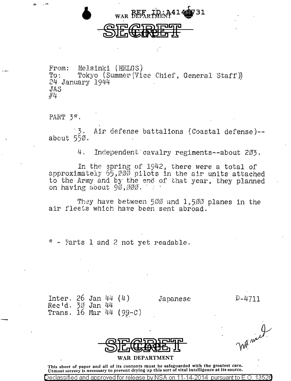

From: Helsinki (HELGS)<br>To: Tokvo (Summer(Vi) Tokyo (Summer (Vice Chief, General Staff)) 24 January 1944 **JAS**  $\#$ 4.

PART  $3$ <sup>\*</sup>.

Air defense battalions (Coastal defense)-about 550.

4. Independent·cavalry regiments--about 203.

In the spring of 1942, there were a total of approximately  $55,000$  pilots in the air units attached to the Army and by the end of that year, they planned on having *coout 90,000.* · · ·

They have between  $500$  and  $1,500$  planes in the air fleets which have been sent abroad.

Farts 1 and 2 not yet readable.

Inter. 26 Jan 44 (4) Rec 1d. 30 Jan 44 Trans.  $16$  Mar<sup> $44$ </sup> (  $99-c$  )

Declassified and approved for release bv.

Japanese

 $D-4711$ 

W. mill

| <b>AFRAFORER</b> |  |  |
|------------------|--|--|
| <b>PEGELET</b>   |  |  |

**WAR DEPARTMENT** 

This sheet of paper and all of its contents must be safeguarded with the greatest care. Utmost secrecy is necessary to prevent drying up this sort of vital intelligence at its source.